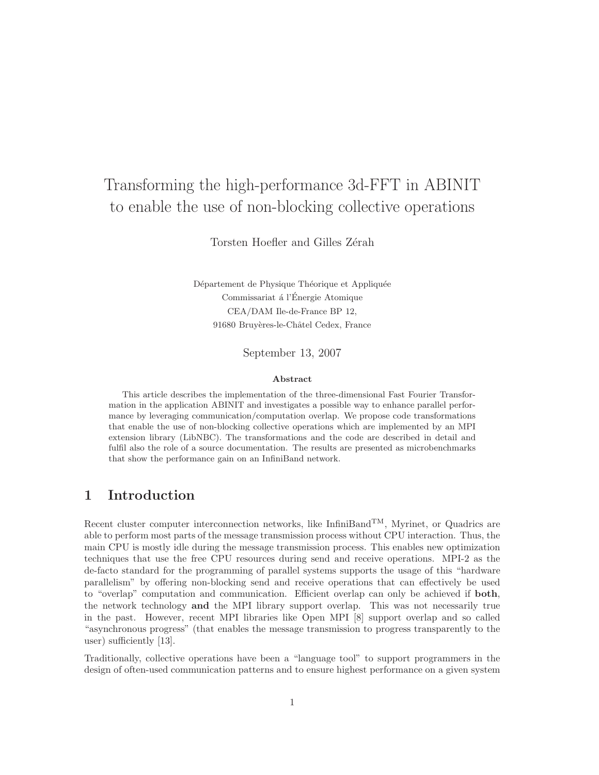# Transforming the high-performance 3d-FFT in ABINIT to enable the use of non-blocking collective operations

Torsten Hoefler and Gilles Zérah

Département de Physique Théorique et Appliquée Commissariat á l'Énergie Atomique CEA/DAM Ile-de-France BP 12, 91680 Bruyères-le-Châtel Cedex, France

September 13, 2007

#### Abstract

This article describes the implementation of the three-dimensional Fast Fourier Transformation in the application ABINIT and investigates a possible way to enhance parallel performance by leveraging communication/computation overlap. We propose code transformations that enable the use of non-blocking collective operations which are implemented by an MPI extension library (LibNBC). The transformations and the code are described in detail and fulfil also the role of a source documentation. The results are presented as microbenchmarks that show the performance gain on an InfiniBand network.

## 1 Introduction

Recent cluster computer interconnection networks, like InfiniBand<sup>TM</sup>, Myrinet, or Quadrics are able to perform most parts of the message transmission process without CPU interaction. Thus, the main CPU is mostly idle during the message transmission process. This enables new optimization techniques that use the free CPU resources during send and receive operations. MPI-2 as the de-facto standard for the programming of parallel systems supports the usage of this "hardware parallelism" by offering non-blocking send and receive operations that can effectively be used to "overlap" computation and communication. Efficient overlap can only be achieved if both, the network technology and the MPI library support overlap. This was not necessarily true in the past. However, recent MPI libraries like Open MPI [8] support overlap and so called "asynchronous progress" (that enables the message transmission to progress transparently to the user) sufficiently [13].

Traditionally, collective operations have been a "language tool" to support programmers in the design of often-used communication patterns and to ensure highest performance on a given system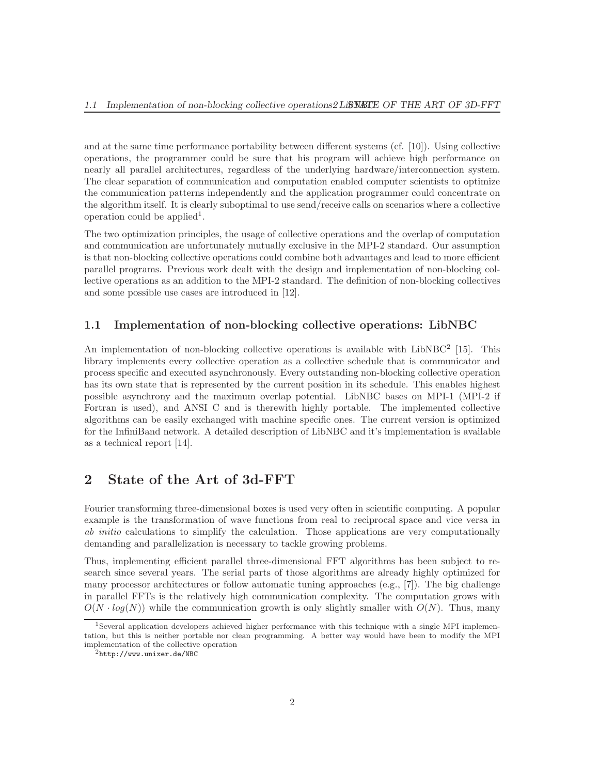and at the same time performance portability between different systems (cf. [10]). Using collective operations, the programmer could be sure that his program will achieve high performance on nearly all parallel architectures, regardless of the underlying hardware/interconnection system. The clear separation of communication and computation enabled computer scientists to optimize the communication patterns independently and the application programmer could concentrate on the algorithm itself. It is clearly suboptimal to use send/receive calls on scenarios where a collective operation could be applied<sup>1</sup>.

The two optimization principles, the usage of collective operations and the overlap of computation and communication are unfortunately mutually exclusive in the MPI-2 standard. Our assumption is that non-blocking collective operations could combine both advantages and lead to more efficient parallel programs. Previous work dealt with the design and implementation of non-blocking collective operations as an addition to the MPI-2 standard. The definition of non-blocking collectives and some possible use cases are introduced in [12].

#### 1.1 Implementation of non-blocking collective operations: LibNBC

An implementation of non-blocking collective operations is available with LibNBC<sup>2</sup> [15]. This library implements every collective operation as a collective schedule that is communicator and process specific and executed asynchronously. Every outstanding non-blocking collective operation has its own state that is represented by the current position in its schedule. This enables highest possible asynchrony and the maximum overlap potential. LibNBC bases on MPI-1 (MPI-2 if Fortran is used), and ANSI C and is therewith highly portable. The implemented collective algorithms can be easily exchanged with machine specific ones. The current version is optimized for the InfiniBand network. A detailed description of LibNBC and it's implementation is available as a technical report [14].

# 2 State of the Art of 3d-FFT

Fourier transforming three-dimensional boxes is used very often in scientific computing. A popular example is the transformation of wave functions from real to reciprocal space and vice versa in ab initio calculations to simplify the calculation. Those applications are very computationally demanding and parallelization is necessary to tackle growing problems.

Thus, implementing efficient parallel three-dimensional FFT algorithms has been subject to research since several years. The serial parts of those algorithms are already highly optimized for many processor architectures or follow automatic tuning approaches (e.g., [7]). The big challenge in parallel FFTs is the relatively high communication complexity. The computation grows with  $O(N \cdot log(N))$  while the communication growth is only slightly smaller with  $O(N)$ . Thus, many

<sup>1</sup>Several application developers achieved higher performance with this technique with a single MPI implementation, but this is neither portable nor clean programming. A better way would have been to modify the MPI implementation of the collective operation

 $^{2}$ http://www.unixer.de/NBC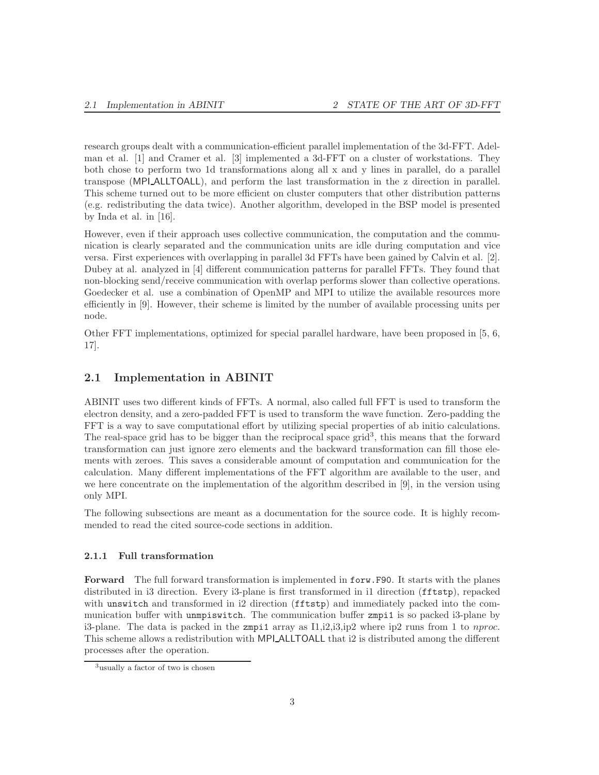research groups dealt with a communication-efficient parallel implementation of the 3d-FFT. Adelman et al. [1] and Cramer et al. [3] implemented a 3d-FFT on a cluster of workstations. They both chose to perform two 1d transformations along all x and y lines in parallel, do a parallel transpose (MPI ALLTOALL), and perform the last transformation in the z direction in parallel. This scheme turned out to be more efficient on cluster computers that other distribution patterns (e.g. redistributing the data twice). Another algorithm, developed in the BSP model is presented by Inda et al. in [16].

However, even if their approach uses collective communication, the computation and the communication is clearly separated and the communication units are idle during computation and vice versa. First experiences with overlapping in parallel 3d FFTs have been gained by Calvin et al. [2]. Dubey at al. analyzed in [4] different communication patterns for parallel FFTs. They found that non-blocking send/receive communication with overlap performs slower than collective operations. Goedecker et al. use a combination of OpenMP and MPI to utilize the available resources more efficiently in [9]. However, their scheme is limited by the number of available processing units per node.

Other FFT implementations, optimized for special parallel hardware, have been proposed in [5, 6, 17].

#### 2.1 Implementation in ABINIT

ABINIT uses two different kinds of FFTs. A normal, also called full FFT is used to transform the electron density, and a zero-padded FFT is used to transform the wave function. Zero-padding the FFT is a way to save computational effort by utilizing special properties of ab initio calculations. The real-space grid has to be bigger than the reciprocal space grid<sup>3</sup>, this means that the forward transformation can just ignore zero elements and the backward transformation can fill those elements with zeroes. This saves a considerable amount of computation and communication for the calculation. Many different implementations of the FFT algorithm are available to the user, and we here concentrate on the implementation of the algorithm described in [9], in the version using only MPI.

The following subsections are meant as a documentation for the source code. It is highly recommended to read the cited source-code sections in addition.

#### 2.1.1 Full transformation

Forward The full forward transformation is implemented in forw.F90. It starts with the planes distributed in i3 direction. Every i3-plane is first transformed in i1 direction (fftstp), repacked with unswitch and transformed in i2 direction (fftstp) and immediately packed into the communication buffer with unmpiswitch. The communication buffer zmpi1 is so packed i3-plane by i3-plane. The data is packed in the zmpi1 array as  $I1, i2, i3, ip2$  where ip2 runs from 1 to *nproc.* This scheme allows a redistribution with MPI ALLTOALL that i2 is distributed among the different processes after the operation.

<sup>&</sup>lt;sup>3</sup>usually a factor of two is chosen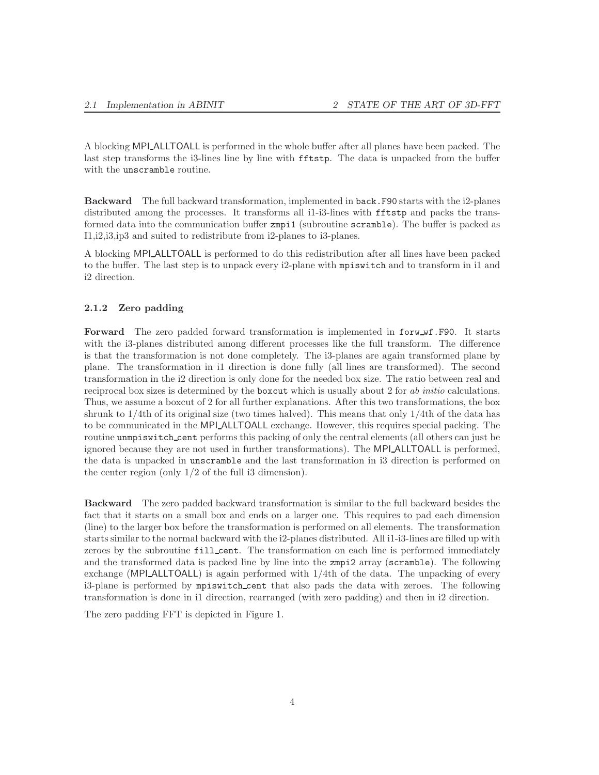A blocking MPI ALLTOALL is performed in the whole buffer after all planes have been packed. The last step transforms the i3-lines line by line with fftstp. The data is unpacked from the buffer with the unscramble routine.

Backward The full backward transformation, implemented in back.F90 starts with the i2-planes distributed among the processes. It transforms all i1-i3-lines with **fftstp** and packs the transformed data into the communication buffer zmpi1 (subroutine scramble). The buffer is packed as I1,i2,i3,ip3 and suited to redistribute from i2-planes to i3-planes.

A blocking MPI ALLTOALL is performed to do this redistribution after all lines have been packed to the buffer. The last step is to unpack every i2-plane with mpiswitch and to transform in i1 and i2 direction.

#### 2.1.2 Zero padding

Forward The zero padded forward transformation is implemented in forw wf.F90. It starts with the i3-planes distributed among different processes like the full transform. The difference is that the transformation is not done completely. The i3-planes are again transformed plane by plane. The transformation in i1 direction is done fully (all lines are transformed). The second transformation in the i2 direction is only done for the needed box size. The ratio between real and reciprocal box sizes is determined by the boxcut which is usually about 2 for ab initio calculations. Thus, we assume a boxcut of 2 for all further explanations. After this two transformations, the box shrunk to 1/4th of its original size (two times halved). This means that only 1/4th of the data has to be communicated in the MPI ALLTOALL exchange. However, this requires special packing. The routine unmpiswitch cent performs this packing of only the central elements (all others can just be ignored because they are not used in further transformations). The MPI ALLTOALL is performed, the data is unpacked in unscramble and the last transformation in i3 direction is performed on the center region (only 1/2 of the full i3 dimension).

Backward The zero padded backward transformation is similar to the full backward besides the fact that it starts on a small box and ends on a larger one. This requires to pad each dimension (line) to the larger box before the transformation is performed on all elements. The transformation starts similar to the normal backward with the i2-planes distributed. All i1-i3-lines are filled up with zeroes by the subroutine fill\_cent. The transformation on each line is performed immediately and the transformed data is packed line by line into the zmpi2 array (scramble). The following exchange (MPI ALLTOALL) is again performed with  $1/4$ th of the data. The unpacking of every i3-plane is performed by mpiswitch cent that also pads the data with zeroes. The following transformation is done in i1 direction, rearranged (with zero padding) and then in i2 direction.

The zero padding FFT is depicted in Figure 1.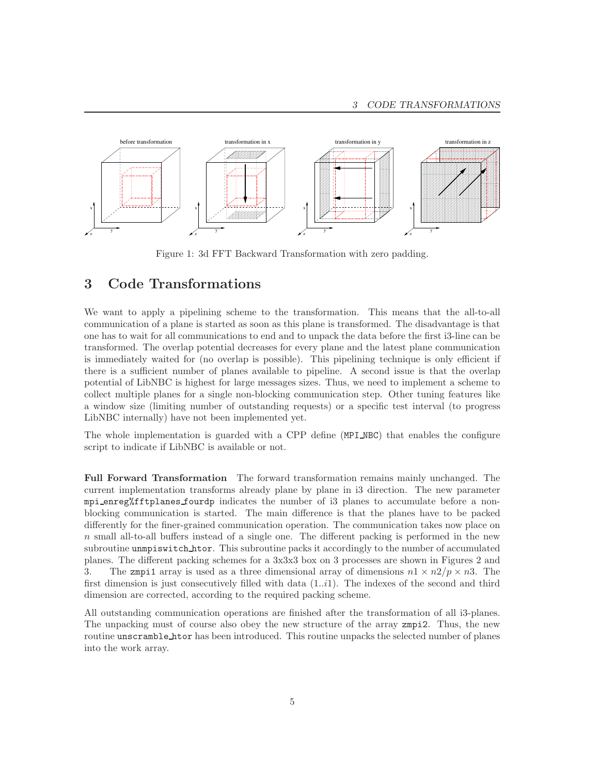

Figure 1: 3d FFT Backward Transformation with zero padding.

## 3 Code Transformations

We want to apply a pipelining scheme to the transformation. This means that the all-to-all communication of a plane is started as soon as this plane is transformed. The disadvantage is that one has to wait for all communications to end and to unpack the data before the first i3-line can be transformed. The overlap potential decreases for every plane and the latest plane communication is immediately waited for (no overlap is possible). This pipelining technique is only efficient if there is a sufficient number of planes available to pipeline. A second issue is that the overlap potential of LibNBC is highest for large messages sizes. Thus, we need to implement a scheme to collect multiple planes for a single non-blocking communication step. Other tuning features like a window size (limiting number of outstanding requests) or a specific test interval (to progress LibNBC internally) have not been implemented yet.

The whole implementation is guarded with a CPP define (MPI NBC) that enables the configure script to indicate if LibNBC is available or not.

Full Forward Transformation The forward transformation remains mainly unchanged. The current implementation transforms already plane by plane in i3 direction. The new parameter mpi enreg%fftplanes fourdp indicates the number of i3 planes to accumulate before a nonblocking communication is started. The main difference is that the planes have to be packed differently for the finer-grained communication operation. The communication takes now place on  $n$  small all-to-all buffers instead of a single one. The different packing is performed in the new subroutine unmpiswitch htor. This subroutine packs it accordingly to the number of accumulated planes. The different packing schemes for a 3x3x3 box on 3 processes are shown in Figures 2 and 3. The zmpi1 array is used as a three dimensional array of dimensions  $n \times n \times 2/p \times n$ 3. The first dimension is just consecutively filled with data  $(1..i1)$ . The indexes of the second and third dimension are corrected, according to the required packing scheme.

All outstanding communication operations are finished after the transformation of all i3-planes. The unpacking must of course also obey the new structure of the array zmpi2. Thus, the new routine unscramble htor has been introduced. This routine unpacks the selected number of planes into the work array.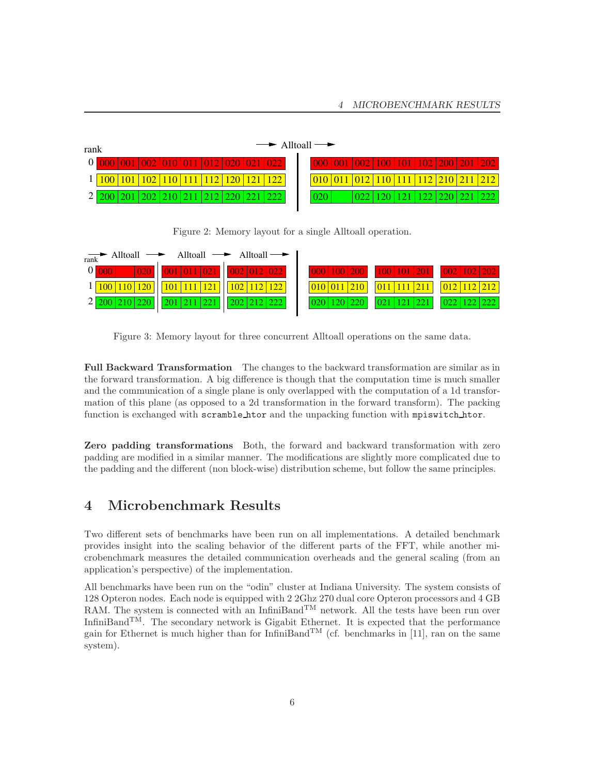| rank |  |  |                                                                                                                                                  |  |  |  |  | $\rightarrow$ Alltoall $\rightarrow$ |  |     |  |  |  |  |  |  |                                                                                           |
|------|--|--|--------------------------------------------------------------------------------------------------------------------------------------------------|--|--|--|--|--------------------------------------|--|-----|--|--|--|--|--|--|-------------------------------------------------------------------------------------------|
|      |  |  | $\frac{1}{1000}$ $\frac{1}{001}$ $\frac{1}{002}$ $\frac{1}{010}$ $\frac{1}{011}$ $\frac{1}{012}$ $\frac{1}{020}$ $\frac{1}{021}$ $\frac{1}{022}$ |  |  |  |  |                                      |  |     |  |  |  |  |  |  |                                                                                           |
|      |  |  | 100 101 102 110 111 112 120 121 122                                                                                                              |  |  |  |  |                                      |  |     |  |  |  |  |  |  | $\frac{010}{011}$ $\frac{012}{110}$ $\frac{111}{112}$ $\frac{210}{211}$ $\frac{212}{212}$ |
|      |  |  | 200 201 202 210 211 212 220 221 222                                                                                                              |  |  |  |  |                                      |  | 020 |  |  |  |  |  |  | 022   120   121   122   220   221   222                                                   |
|      |  |  |                                                                                                                                                  |  |  |  |  |                                      |  |     |  |  |  |  |  |  |                                                                                           |

Figure 2: Memory layout for a single Alltoall operation.

| $\overrightarrow{\text{rank}}$ Alltoall $\longrightarrow$ Alltoall $\longrightarrow$ Alltoall $\longrightarrow$            |  |                                                                                                                   |                                       |
|----------------------------------------------------------------------------------------------------------------------------|--|-------------------------------------------------------------------------------------------------------------------|---------------------------------------|
| $0$ 000 020 001 011 021 002 012 022                                                                                        |  |                                                                                                                   |                                       |
| $1 \overline{)100 \overline{)110 \overline{)120}}$ $101 \overline{111 \overline{121}}$ $102 \overline{112 \overline{122}}$ |  | $\vert 010 \vert 011 \vert 210 \vert$ $\vert 011 \vert 111 \vert 211 \vert$ $\vert 012 \vert 112 \vert 212 \vert$ |                                       |
| 2 200 210 220 201 211 221 202 212 222                                                                                      |  | $\left  \frac{0.20}{120} \right  120 \left  \frac{0.21}{121} \right  121 \left  221 \right $                      | $\vert 022 \vert 122 \vert 222 \vert$ |

Figure 3: Memory layout for three concurrent Alltoall operations on the same data.

Full Backward Transformation The changes to the backward transformation are similar as in the forward transformation. A big difference is though that the computation time is much smaller and the communication of a single plane is only overlapped with the computation of a 1d transformation of this plane (as opposed to a 2d transformation in the forward transform). The packing function is exchanged with scramble htor and the unpacking function with mpiswitch htor.

Zero padding transformations Both, the forward and backward transformation with zero padding are modified in a similar manner. The modifications are slightly more complicated due to the padding and the different (non block-wise) distribution scheme, but follow the same principles.

# 4 Microbenchmark Results

Two different sets of benchmarks have been run on all implementations. A detailed benchmark provides insight into the scaling behavior of the different parts of the FFT, while another microbenchmark measures the detailed communication overheads and the general scaling (from an application's perspective) of the implementation.

All benchmarks have been run on the "odin" cluster at Indiana University. The system consists of 128 Opteron nodes. Each node is equipped with 2 2Ghz 270 dual core Opteron processors and 4 GB RAM. The system is connected with an InfiniBand<sup>TM</sup> network. All the tests have been run over InfiniBand<sup>TM</sup>. The secondary network is Gigabit Ethernet. It is expected that the performance gain for Ethernet is much higher than for InfiniBand<sup>TM</sup> (cf. benchmarks in [11], ran on the same system).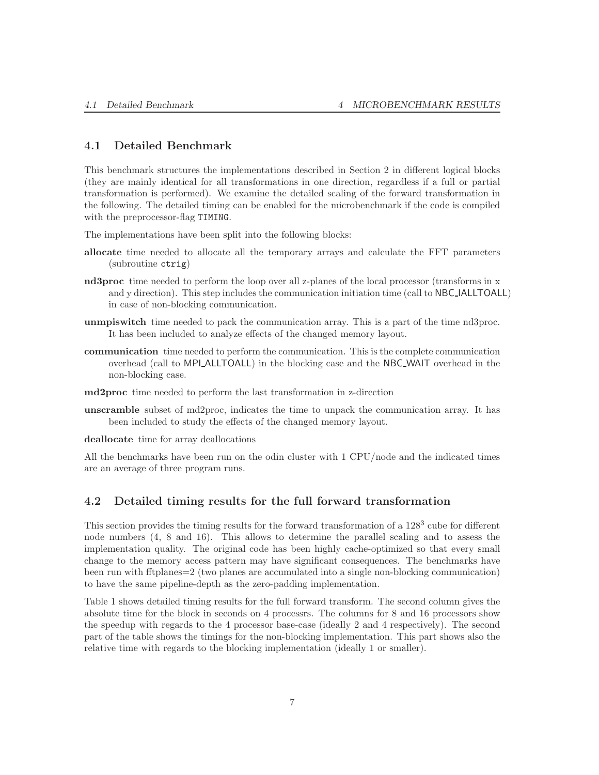## 4.1 Detailed Benchmark

This benchmark structures the implementations described in Section 2 in different logical blocks (they are mainly identical for all transformations in one direction, regardless if a full or partial transformation is performed). We examine the detailed scaling of the forward transformation in the following. The detailed timing can be enabled for the microbenchmark if the code is compiled with the preprocessor-flag TIMING.

The implementations have been split into the following blocks:

- allocate time needed to allocate all the temporary arrays and calculate the FFT parameters (subroutine ctrig)
- nd3proc time needed to perform the loop over all z-planes of the local processor (transforms in x and y direction). This step includes the communication initiation time (call to NBC IALLTOALL) in case of non-blocking communication.
- unmpiswitch time needed to pack the communication array. This is a part of the time nd3proc. It has been included to analyze effects of the changed memory layout.
- communication time needed to perform the communication. This is the complete communication overhead (call to MPI ALLTOALL) in the blocking case and the NBC WAIT overhead in the non-blocking case.

md2proc time needed to perform the last transformation in z-direction

unscramble subset of md2proc, indicates the time to unpack the communication array. It has been included to study the effects of the changed memory layout.

deallocate time for array deallocations

All the benchmarks have been run on the odin cluster with 1 CPU/node and the indicated times are an average of three program runs.

#### 4.2 Detailed timing results for the full forward transformation

This section provides the timing results for the forward transformation of a 128<sup>3</sup> cube for different node numbers (4, 8 and 16). This allows to determine the parallel scaling and to assess the implementation quality. The original code has been highly cache-optimized so that every small change to the memory access pattern may have significant consequences. The benchmarks have been run with fftplanes=2 (two planes are accumulated into a single non-blocking communication) to have the same pipeline-depth as the zero-padding implementation.

Table 1 shows detailed timing results for the full forward transform. The second column gives the absolute time for the block in seconds on 4 processrs. The columns for 8 and 16 processors show the speedup with regards to the 4 processor base-case (ideally 2 and 4 respectively). The second part of the table shows the timings for the non-blocking implementation. This part shows also the relative time with regards to the blocking implementation (ideally 1 or smaller).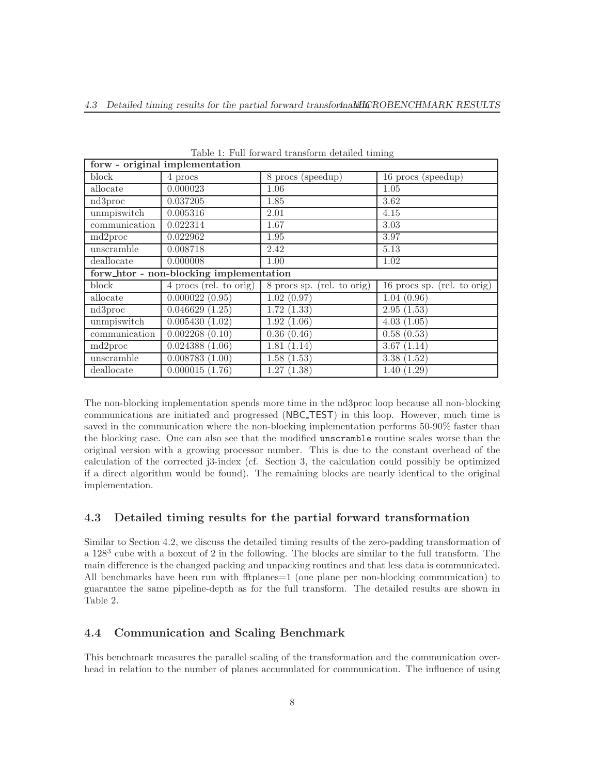| forw - original implementation          |                        |                            |                             |  |  |  |  |  |
|-----------------------------------------|------------------------|----------------------------|-----------------------------|--|--|--|--|--|
| block                                   | 4 procs                | 8 procs (speedup)          | 16 procs (speedup)          |  |  |  |  |  |
| allocate                                | 0.000023               | 1.06                       | 1.05                        |  |  |  |  |  |
| nd3proc                                 | 0.037205               | 1.85                       | 3.62                        |  |  |  |  |  |
| unmpiswitch                             | 0.005316               | 2.01                       | 4.15                        |  |  |  |  |  |
| communication                           | 0.022314               | 1.67                       | 3.03                        |  |  |  |  |  |
| md2proc                                 | 0.022962               | 1.95                       | 3.97                        |  |  |  |  |  |
| unscramble                              | 0.008718               | 2.42                       | 5.13                        |  |  |  |  |  |
| deallocate                              | 0.000008               | 1.00                       | 1.02                        |  |  |  |  |  |
| forw_htor - non-blocking implementation |                        |                            |                             |  |  |  |  |  |
| block                                   | 4 procs (rel. to orig) | 8 procs sp. (rel. to orig) | 16 procs sp. (rel. to orig) |  |  |  |  |  |
| allocate                                | 0.000022(0.95)         | 1.02(0.97)                 | 1.04(0.96)                  |  |  |  |  |  |
| nd3proc                                 | 0.046629(1.25)         | 1.72(1.33)                 | 2.95(1.53)                  |  |  |  |  |  |
| unmpiswitch                             | 0.005430(1.02)         | 1.92(1.06)                 | 4.03(1.05)                  |  |  |  |  |  |
| communication                           | 0.002268(0.10)         | 0.36(0.46)                 | 0.58(0.53)                  |  |  |  |  |  |
| md2proc                                 | 0.024388(1.06)         | 1.81(1.14)                 | 3.67(1.14)                  |  |  |  |  |  |
| unscramble                              | 0.008783(1.00)         | 1.58(1.53)                 | 3.38(1.52)                  |  |  |  |  |  |
| deallocate                              | 0.000015(1.76)         | 1.27(1.38)                 | 1.40(1.29)                  |  |  |  |  |  |

Table 1: Full forward transform detailed timing

The non-blocking implementation spends more time in the nd3proc loop because all non-blocking communications are initiated and progressed (NBC TEST) in this loop. However, much time is saved in the communication where the non-blocking implementation performs 50-90% faster than the blocking case. One can also see that the modified unscramble routine scales worse than the original version with a growing processor number. This is due to the constant overhead of the calculation of the corrected j3-index (cf. Section 3, the calculation could possibly be optimized if a direct algorithm would be found). The remaining blocks are nearly identical to the original implementation.

#### 4.3 Detailed timing results for the partial forward transformation

Similar to Section 4.2, we discuss the detailed timing results of the zero-padding transformation of a  $128<sup>3</sup>$  cube with a boxcut of 2 in the following. The blocks are similar to the full transform. The main difference is the changed packing and unpacking routines and that less data is communicated. All benchmarks have been run with fftplanes = 1 (one plane per non-blocking communication) to guarantee the same pipeline-depth as for the full transform. The detailed results are shown in Table 2.

#### 4.4 Communication and Scaling Benchmark

This benchmark measures the parallel scaling of the transformation and the communication overhead in relation to the number of planes accumulated for communication. The influence of using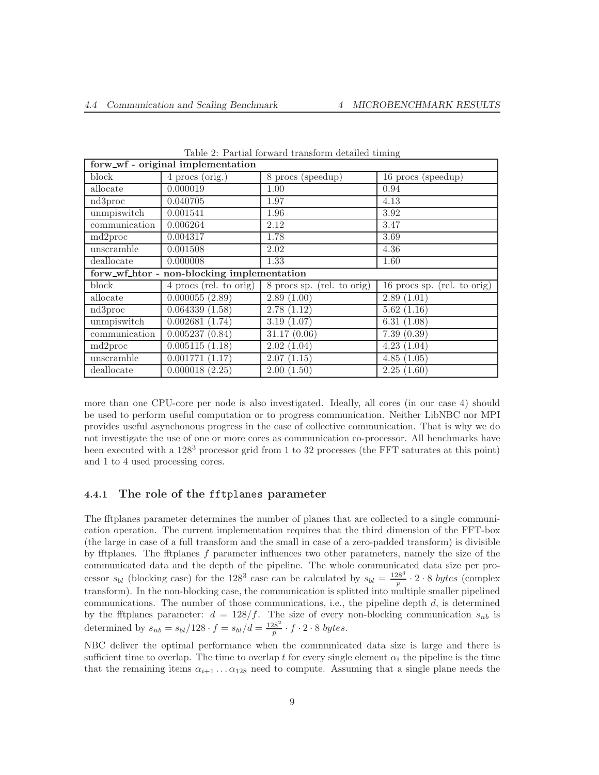| forw_wf - original implementation |                                            |                               |                             |  |  |  |  |  |  |
|-----------------------------------|--------------------------------------------|-------------------------------|-----------------------------|--|--|--|--|--|--|
| block                             | 4 procs (orig.)                            | 8 procs (speedup)             | 16 procs (speedup)          |  |  |  |  |  |  |
| allocate                          | 0.000019                                   | 1.00                          | 0.94                        |  |  |  |  |  |  |
| nd3proc                           | 0.040705                                   | 1.97                          | 4.13                        |  |  |  |  |  |  |
| unmpiswitch                       | 0.001541                                   | 1.96                          | 3.92                        |  |  |  |  |  |  |
| communication                     | 0.006264                                   | 2.12                          | 3.47                        |  |  |  |  |  |  |
| md2proc                           | 0.004317                                   | 1.78                          | 3.69                        |  |  |  |  |  |  |
| unscramble                        | 0.001508                                   | 2.02                          | 4.36                        |  |  |  |  |  |  |
| deallocate                        | 0.000008                                   | 1.33                          | 1.60                        |  |  |  |  |  |  |
|                                   | forw_wf_htor - non-blocking implementation |                               |                             |  |  |  |  |  |  |
| block                             | 4 procs (rel. to orig)                     | (rel. to orig)<br>8 procs sp. | 16 procs sp. (rel. to orig) |  |  |  |  |  |  |
| allocate                          | 0.000055(2.89)                             | 2.89(1.00)                    | 2.89(1.01)                  |  |  |  |  |  |  |
| nd3proc                           | 0.064339(1.58)                             | 2.78(1.12)                    | 5.62(1.16)                  |  |  |  |  |  |  |
| unmpiswitch                       | 0.002681(1.74)                             | 3.19(1.07)                    | 6.31(1.08)                  |  |  |  |  |  |  |
| communication                     | 0.005237(0.84)                             | 31.17(0.06)                   | 7.39(0.39)                  |  |  |  |  |  |  |
| md2proc                           | 0.005115(1.18)                             | 2.02(1.04)                    | 4.23(1.04)                  |  |  |  |  |  |  |
| unscramble                        | 0.001771(1.17)                             | 2.07(1.15)                    | 4.85(1.05)                  |  |  |  |  |  |  |
| deallocate                        | 0.000018(2.25)                             | 2.00(1.50)                    | 2.25(1.60)                  |  |  |  |  |  |  |

Table 2: Partial forward transform detailed timing

more than one CPU-core per node is also investigated. Ideally, all cores (in our case 4) should be used to perform useful computation or to progress communication. Neither LibNBC nor MPI provides useful asynchonous progress in the case of collective communication. That is why we do not investigate the use of one or more cores as communication co-processor. All benchmarks have been executed with a 128<sup>3</sup> processor grid from 1 to 32 processes (the FFT saturates at this point) and 1 to 4 used processing cores.

### 4.4.1 The role of the fftplanes parameter

The fftplanes parameter determines the number of planes that are collected to a single communication operation. The current implementation requires that the third dimension of the FFT-box (the large in case of a full transform and the small in case of a zero-padded transform) is divisible by fftplanes. The fftplanes  $f$  parameter influences two other parameters, namely the size of the communicated data and the depth of the pipeline. The whole communicated data size per processor  $s_{bl}$  (blocking case) for the 128<sup>3</sup> case can be calculated by  $s_{bl} = \frac{128^3}{p} \cdot 2 \cdot 8$  bytes (complex transform). In the non-blocking case, the communication is splitted into multiple smaller pipelined communications. The number of those communications, i.e., the pipeline depth  $d$ , is determined by the fftplanes parameter:  $d = 128/f$ . The size of every non-blocking communication  $s_{nb}$  is determined by  $s_{nb} = s_{bl}/128 \cdot f = s_{bl}/d = \frac{128^2}{p} \cdot f \cdot 2 \cdot 8$  bytes.

NBC deliver the optimal performance when the communicated data size is large and there is sufficient time to overlap. The time to overlap t for every single element  $\alpha_i$  the pipeline is the time that the remaining items  $\alpha_{i+1} \ldots \alpha_{128}$  need to compute. Assuming that a single plane needs the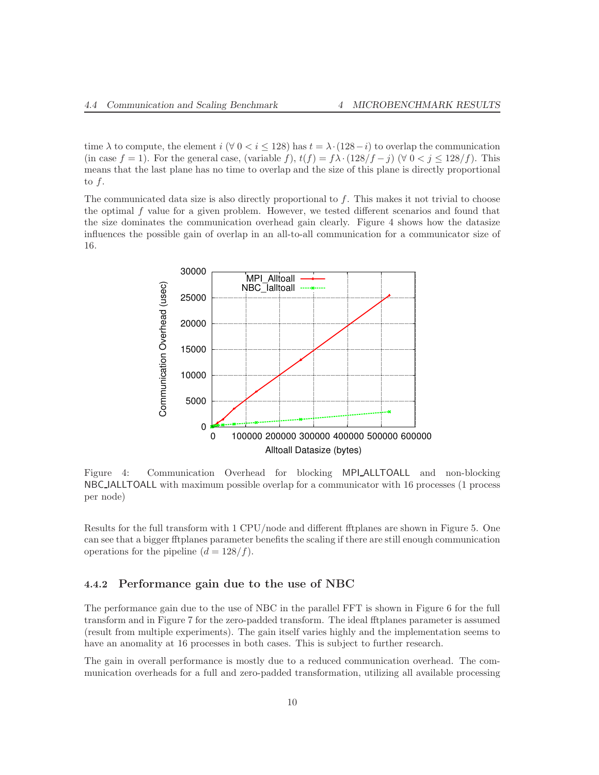time  $\lambda$  to compute, the element i ( $\forall$  0 < i < 128) has  $t = \lambda \cdot (128 - i)$  to overlap the communication (in case f = 1). For the general case, (variable f),  $t(f) = f\lambda \cdot (128/f - j)$  ( $\forall$  0 < j ≤ 128/f). This means that the last plane has no time to overlap and the size of this plane is directly proportional to  $f$ .

The communicated data size is also directly proportional to  $f$ . This makes it not trivial to choose the optimal f value for a given problem. However, we tested different scenarios and found that the size dominates the communication overhead gain clearly. Figure 4 shows how the datasize influences the possible gain of overlap in an all-to-all communication for a communicator size of 16.



Figure 4: Communication Overhead for blocking MPI ALLTOALL and non-blocking NBC IALLTOALL with maximum possible overlap for a communicator with 16 processes (1 process per node)

Results for the full transform with 1 CPU/node and different fftplanes are shown in Figure 5. One can see that a bigger fftplanes parameter benefits the scaling if there are still enough communication operations for the pipeline  $(d = 128/f)$ .

#### 4.4.2 Performance gain due to the use of NBC

The performance gain due to the use of NBC in the parallel FFT is shown in Figure 6 for the full transform and in Figure 7 for the zero-padded transform. The ideal fftplanes parameter is assumed (result from multiple experiments). The gain itself varies highly and the implementation seems to have an anomality at 16 processes in both cases. This is subject to further research.

The gain in overall performance is mostly due to a reduced communication overhead. The communication overheads for a full and zero-padded transformation, utilizing all available processing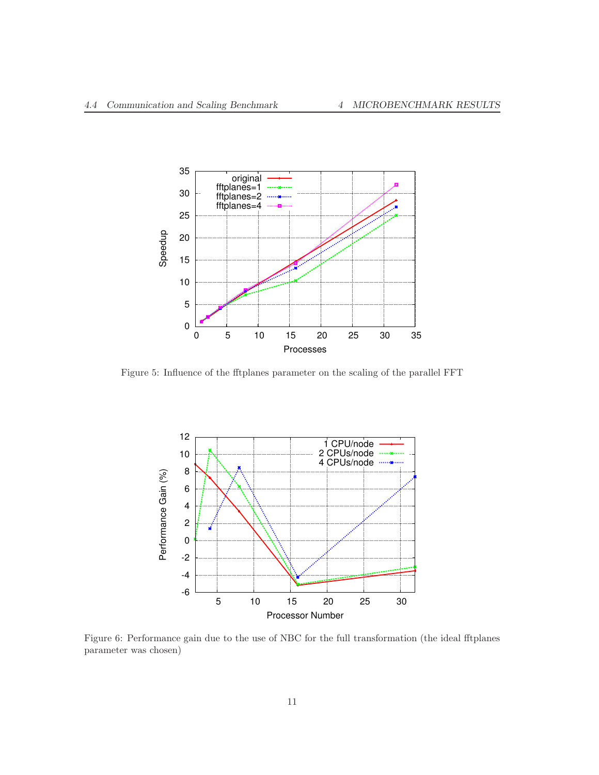

Figure 5: Influence of the fftplanes parameter on the scaling of the parallel FFT



Figure 6: Performance gain due to the use of NBC for the full transformation (the ideal fftplanes parameter was chosen)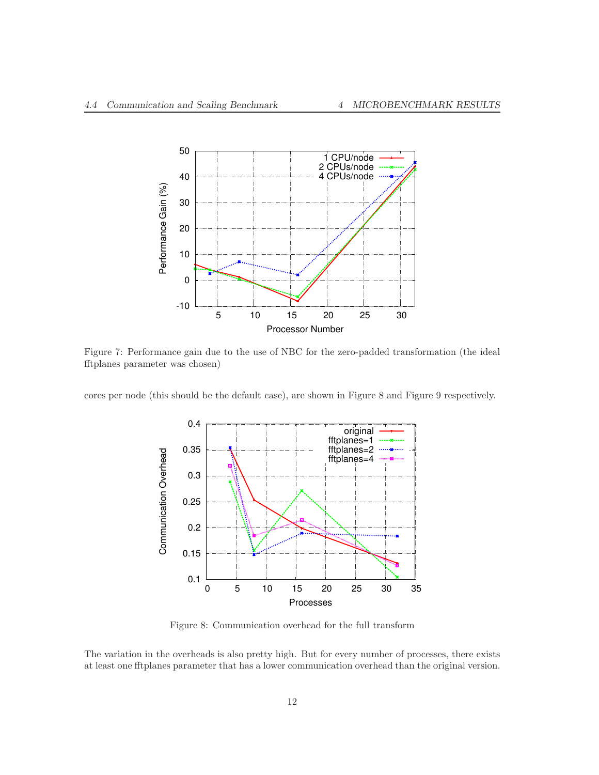

Figure 7: Performance gain due to the use of NBC for the zero-padded transformation (the ideal fftplanes parameter was chosen)

cores per node (this should be the default case), are shown in Figure 8 and Figure 9 respectively.



Figure 8: Communication overhead for the full transform

The variation in the overheads is also pretty high. But for every number of processes, there exists at least one fftplanes parameter that has a lower communication overhead than the original version.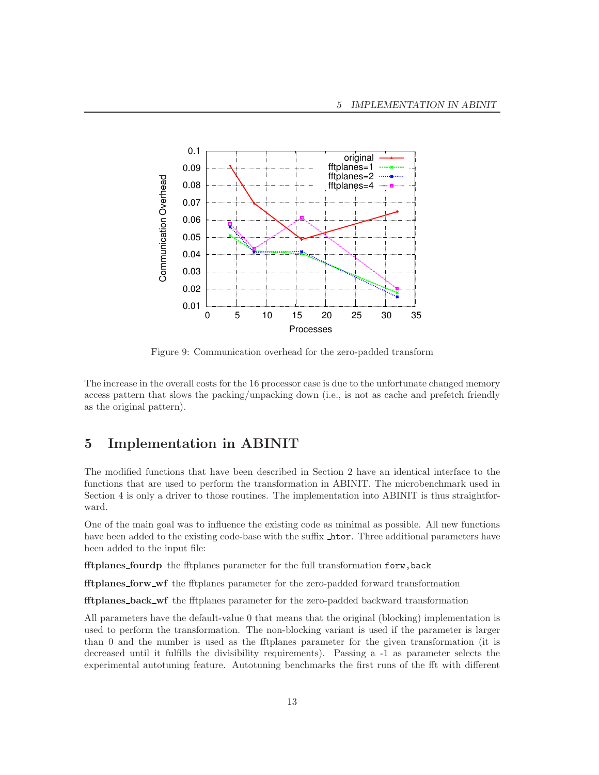

Figure 9: Communication overhead for the zero-padded transform

The increase in the overall costs for the 16 processor case is due to the unfortunate changed memory access pattern that slows the packing/unpacking down (i.e., is not as cache and prefetch friendly as the original pattern).

# 5 Implementation in ABINIT

The modified functions that have been described in Section 2 have an identical interface to the functions that are used to perform the transformation in ABINIT. The microbenchmark used in Section 4 is only a driver to those routines. The implementation into ABINIT is thus straightforward.

One of the main goal was to influence the existing code as minimal as possible. All new functions have been added to the existing code-base with the suffix  $\Delta$  htor. Three additional parameters have been added to the input file:

fftplanes fourdp the fftplanes parameter for the full transformation forw,back

fftplanes forw wf the fftplanes parameter for the zero-padded forward transformation

fftplanes back wf the fftplanes parameter for the zero-padded backward transformation

All parameters have the default-value 0 that means that the original (blocking) implementation is used to perform the transformation. The non-blocking variant is used if the parameter is larger than 0 and the number is used as the fftplanes parameter for the given transformation (it is decreased until it fulfills the divisibility requirements). Passing a -1 as parameter selects the experimental autotuning feature. Autotuning benchmarks the first runs of the fft with different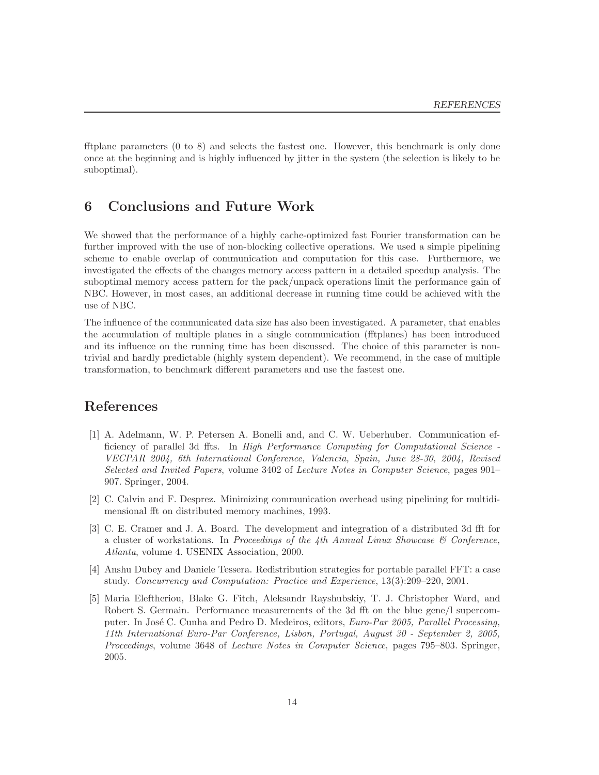fftplane parameters (0 to 8) and selects the fastest one. However, this benchmark is only done once at the beginning and is highly influenced by jitter in the system (the selection is likely to be suboptimal).

## 6 Conclusions and Future Work

We showed that the performance of a highly cache-optimized fast Fourier transformation can be further improved with the use of non-blocking collective operations. We used a simple pipelining scheme to enable overlap of communication and computation for this case. Furthermore, we investigated the effects of the changes memory access pattern in a detailed speedup analysis. The suboptimal memory access pattern for the pack/unpack operations limit the performance gain of NBC. However, in most cases, an additional decrease in running time could be achieved with the use of NBC.

The influence of the communicated data size has also been investigated. A parameter, that enables the accumulation of multiple planes in a single communication (fftplanes) has been introduced and its influence on the running time has been discussed. The choice of this parameter is nontrivial and hardly predictable (highly system dependent). We recommend, in the case of multiple transformation, to benchmark different parameters and use the fastest one.

## References

- [1] A. Adelmann, W. P. Petersen A. Bonelli and, and C. W. Ueberhuber. Communication efficiency of parallel 3d ffts. In High Performance Computing for Computational Science - VECPAR 2004, 6th International Conference, Valencia, Spain, June 28-30, 2004, Revised Selected and Invited Papers, volume 3402 of Lecture Notes in Computer Science, pages 901– 907. Springer, 2004.
- [2] C. Calvin and F. Desprez. Minimizing communication overhead using pipelining for multidimensional fft on distributed memory machines, 1993.
- [3] C. E. Cramer and J. A. Board. The development and integration of a distributed 3d fft for a cluster of workstations. In Proceedings of the 4th Annual Linux Showcase  $\mathcal{C}$  Conference, Atlanta, volume 4. USENIX Association, 2000.
- [4] Anshu Dubey and Daniele Tessera. Redistribution strategies for portable parallel FFT: a case study. Concurrency and Computation: Practice and Experience, 13(3):209–220, 2001.
- [5] Maria Eleftheriou, Blake G. Fitch, Aleksandr Rayshubskiy, T. J. Christopher Ward, and Robert S. Germain. Performance measurements of the 3d fft on the blue gene/l supercomputer. In José C. Cunha and Pedro D. Medeiros, editors, Euro-Par 2005, Parallel Processing, 11th International Euro-Par Conference, Lisbon, Portugal, August 30 - September 2, 2005, Proceedings, volume 3648 of Lecture Notes in Computer Science, pages 795–803. Springer, 2005.